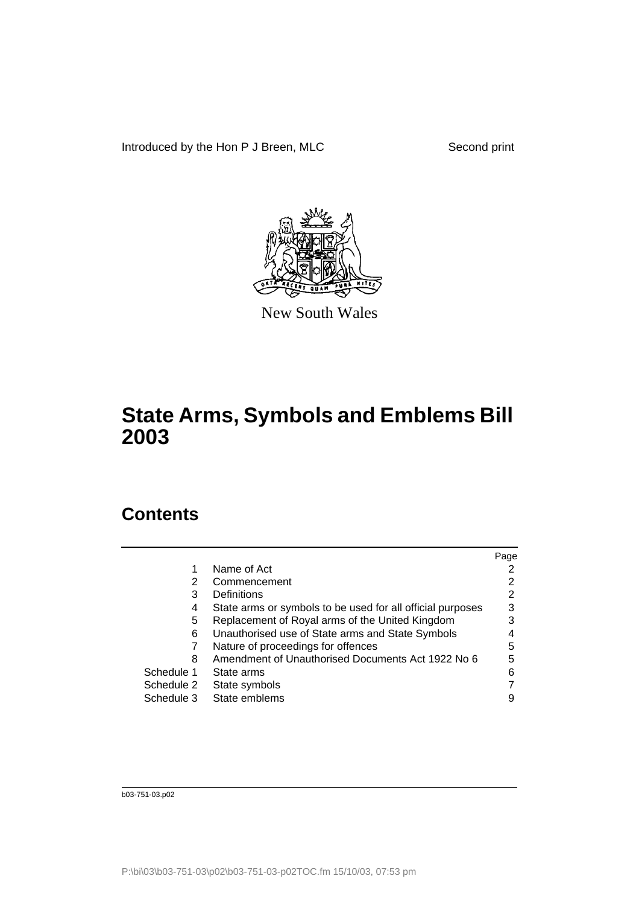Introduced by the Hon P J Breen, MLC Second print



New South Wales

# **State Arms, Symbols and Emblems Bill 2003**

## **Contents**

|            |                                                            | Page |
|------------|------------------------------------------------------------|------|
|            | Name of Act                                                |      |
| 2          | Commencement                                               |      |
| 3          | Definitions                                                | 2    |
| 4          | State arms or symbols to be used for all official purposes | 3    |
| 5          | Replacement of Royal arms of the United Kingdom            |      |
| 6          | Unauthorised use of State arms and State Symbols           |      |
|            | Nature of proceedings for offences                         | 5    |
| 8          | Amendment of Unauthorised Documents Act 1922 No 6          | 5    |
| Schedule 1 | State arms                                                 | 6    |
| Schedule 2 | State symbols                                              |      |
| Schedule 3 | State emblems                                              |      |

b03-751-03.p02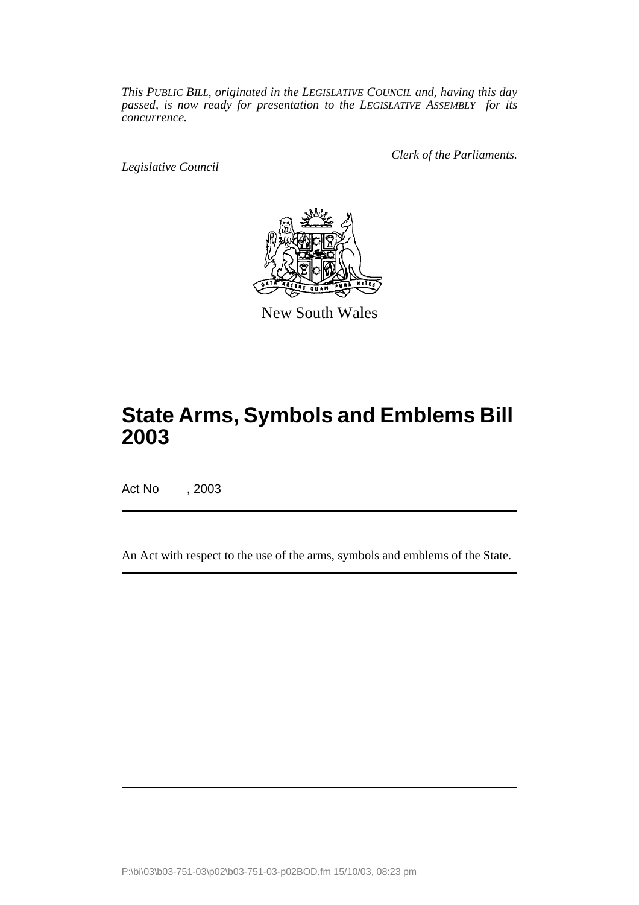*This PUBLIC BILL, originated in the LEGISLATIVE COUNCIL and, having this day passed, is now ready for presentation to the LEGISLATIVE ASSEMBLY for its concurrence.*

*Legislative Council*

*Clerk of the Parliaments.*



New South Wales

# **State Arms, Symbols and Emblems Bill 2003**

Act No , 2003

An Act with respect to the use of the arms, symbols and emblems of the State.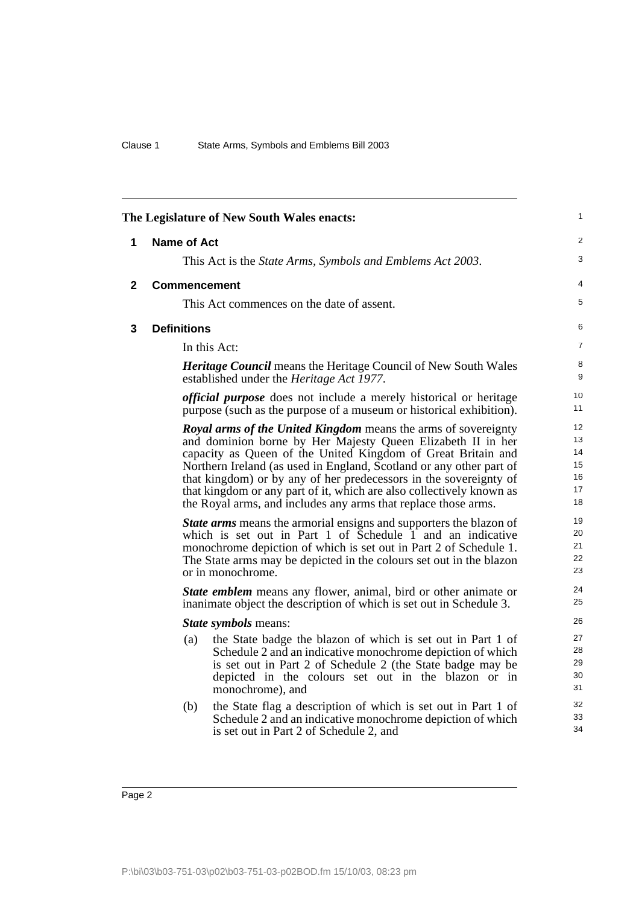<span id="page-3-2"></span><span id="page-3-1"></span><span id="page-3-0"></span>

| 1<br>The Legislature of New South Wales enacts: |                     |                                                                                                                                                                                                                                                                                                                                                                                                                                                                                            |                                        |
|-------------------------------------------------|---------------------|--------------------------------------------------------------------------------------------------------------------------------------------------------------------------------------------------------------------------------------------------------------------------------------------------------------------------------------------------------------------------------------------------------------------------------------------------------------------------------------------|----------------------------------------|
| 1                                               | Name of Act         |                                                                                                                                                                                                                                                                                                                                                                                                                                                                                            | $\overline{2}$                         |
|                                                 |                     | This Act is the <i>State Arms</i> , <i>Symbols and Emblems Act 2003</i> .                                                                                                                                                                                                                                                                                                                                                                                                                  | 3                                      |
| $\mathbf 2$                                     | <b>Commencement</b> |                                                                                                                                                                                                                                                                                                                                                                                                                                                                                            | 4                                      |
|                                                 |                     | This Act commences on the date of assent.                                                                                                                                                                                                                                                                                                                                                                                                                                                  | 5                                      |
| 3                                               | <b>Definitions</b>  |                                                                                                                                                                                                                                                                                                                                                                                                                                                                                            | 6                                      |
|                                                 |                     | In this Act:                                                                                                                                                                                                                                                                                                                                                                                                                                                                               | $\overline{7}$                         |
|                                                 |                     | <b>Heritage Council</b> means the Heritage Council of New South Wales<br>established under the <i>Heritage Act 1977</i> .                                                                                                                                                                                                                                                                                                                                                                  | 8<br>9                                 |
|                                                 |                     | <i>official purpose</i> does not include a merely historical or heritage<br>purpose (such as the purpose of a museum or historical exhibition).                                                                                                                                                                                                                                                                                                                                            | 10 <sup>1</sup><br>11                  |
|                                                 |                     | <b>Royal arms of the United Kingdom</b> means the arms of sovereignty<br>and dominion borne by Her Majesty Queen Elizabeth II in her<br>capacity as Queen of the United Kingdom of Great Britain and<br>Northern Ireland (as used in England, Scotland or any other part of<br>that kingdom) or by any of her predecessors in the sovereignty of<br>that kingdom or any part of it, which are also collectively known as<br>the Royal arms, and includes any arms that replace those arms. | 12<br>13<br>14<br>15<br>16<br>17<br>18 |
|                                                 |                     | <b>State arms</b> means the armorial ensigns and supporters the blazon of<br>which is set out in Part 1 of $\bar{S}$ chedule $\bar{1}$ and an indicative<br>monochrome depiction of which is set out in Part 2 of Schedule 1.<br>The State arms may be depicted in the colours set out in the blazon<br>or in monochrome.                                                                                                                                                                  | 19<br>20<br>21<br>22<br>23             |
|                                                 |                     | <b>State emblem</b> means any flower, animal, bird or other animate or<br>inanimate object the description of which is set out in Schedule 3.                                                                                                                                                                                                                                                                                                                                              | 24<br>25                               |
| State symbols means:                            |                     | 26                                                                                                                                                                                                                                                                                                                                                                                                                                                                                         |                                        |
|                                                 | (a)                 | the State badge the blazon of which is set out in Part 1 of<br>Schedule 2 and an indicative monochrome depiction of which<br>is set out in Part 2 of Schedule 2 (the State badge may be<br>depicted in the colours set out in the blazon or in<br>monochrome), and                                                                                                                                                                                                                         | 27<br>28<br>29<br>30<br>31             |
|                                                 | (b)                 | the State flag a description of which is set out in Part 1 of<br>Schedule 2 and an indicative monochrome depiction of which<br>is set out in Part 2 of Schedule 2, and                                                                                                                                                                                                                                                                                                                     | 32<br>33<br>34                         |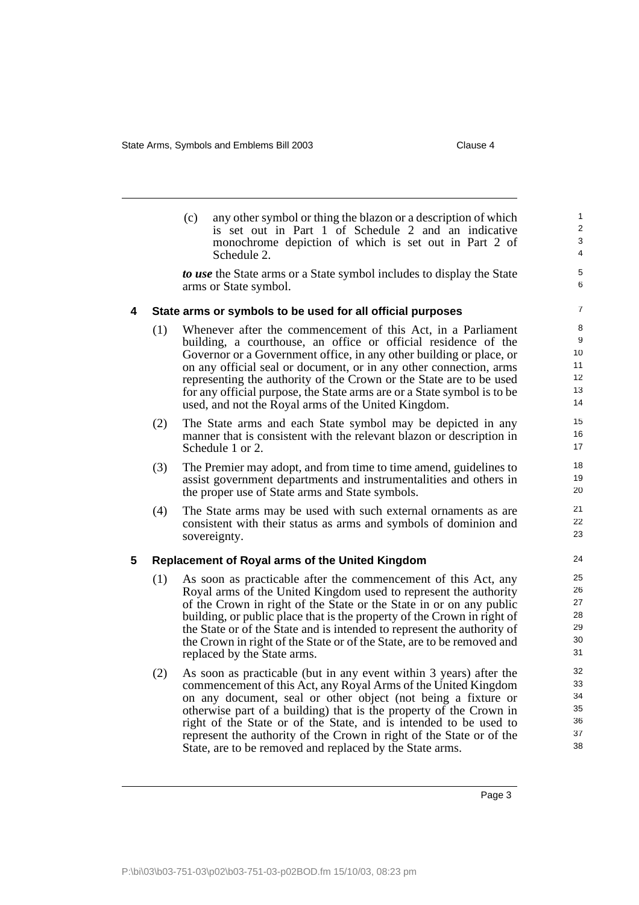<span id="page-4-1"></span><span id="page-4-0"></span>

|   |     | (c)<br>any other symbol or thing the blazon or a description of which<br>is set out in Part 1 of Schedule 2 and an indicative<br>monochrome depiction of which is set out in Part 2 of<br>Schedule 2.                                                                                                                                                                                                                                                                                | $\mathbf{1}$<br>$\overline{2}$<br>3<br>4          |
|---|-----|--------------------------------------------------------------------------------------------------------------------------------------------------------------------------------------------------------------------------------------------------------------------------------------------------------------------------------------------------------------------------------------------------------------------------------------------------------------------------------------|---------------------------------------------------|
|   |     | to use the State arms or a State symbol includes to display the State<br>arms or State symbol.                                                                                                                                                                                                                                                                                                                                                                                       | 5<br>6                                            |
| 4 |     | State arms or symbols to be used for all official purposes                                                                                                                                                                                                                                                                                                                                                                                                                           | $\overline{7}$                                    |
|   | (1) | Whenever after the commencement of this Act, in a Parliament<br>building, a courthouse, an office or official residence of the<br>Governor or a Government office, in any other building or place, or<br>on any official seal or document, or in any other connection, arms<br>representing the authority of the Crown or the State are to be used<br>for any official purpose, the State arms are or a State symbol is to be<br>used, and not the Royal arms of the United Kingdom. | 8<br>9<br>10<br>11<br>12 <sup>2</sup><br>13<br>14 |
|   | (2) | The State arms and each State symbol may be depicted in any<br>manner that is consistent with the relevant blazon or description in<br>Schedule 1 or 2.                                                                                                                                                                                                                                                                                                                              | 15<br>16<br>17                                    |
|   | (3) | The Premier may adopt, and from time to time amend, guidelines to<br>assist government departments and instrumentalities and others in<br>the proper use of State arms and State symbols.                                                                                                                                                                                                                                                                                            | 18<br>19<br>20                                    |
|   | (4) | The State arms may be used with such external ornaments as are<br>consistent with their status as arms and symbols of dominion and<br>sovereignty.                                                                                                                                                                                                                                                                                                                                   | 21<br>22<br>23                                    |
| 5 |     | Replacement of Royal arms of the United Kingdom                                                                                                                                                                                                                                                                                                                                                                                                                                      | 24                                                |
|   | (1) | As soon as practicable after the commencement of this Act, any<br>Royal arms of the United Kingdom used to represent the authority<br>of the Crown in right of the State or the State in or on any public<br>building, or public place that is the property of the Crown in right of<br>the State or of the State and is intended to represent the authority of<br>the Crown in right of the State or of the State, are to be removed and<br>replaced by the State arms.             | 25<br>26<br>27<br>28<br>29<br>30<br>31            |
|   | (2) | As soon as practicable (but in any event within 3 years) after the<br>commencement of this Act, any Royal Arms of the United Kingdom<br>on any document, seal or other object (not being a fixture or<br>otherwise part of a building) that is the property of the Crown in<br>right of the State or of the State, and is intended to be used to<br>represent the authority of the Crown in right of the State or of the<br>State, are to be removed and replaced by the State arms. | 32<br>33<br>34<br>35<br>36<br>37<br>38            |

Page 3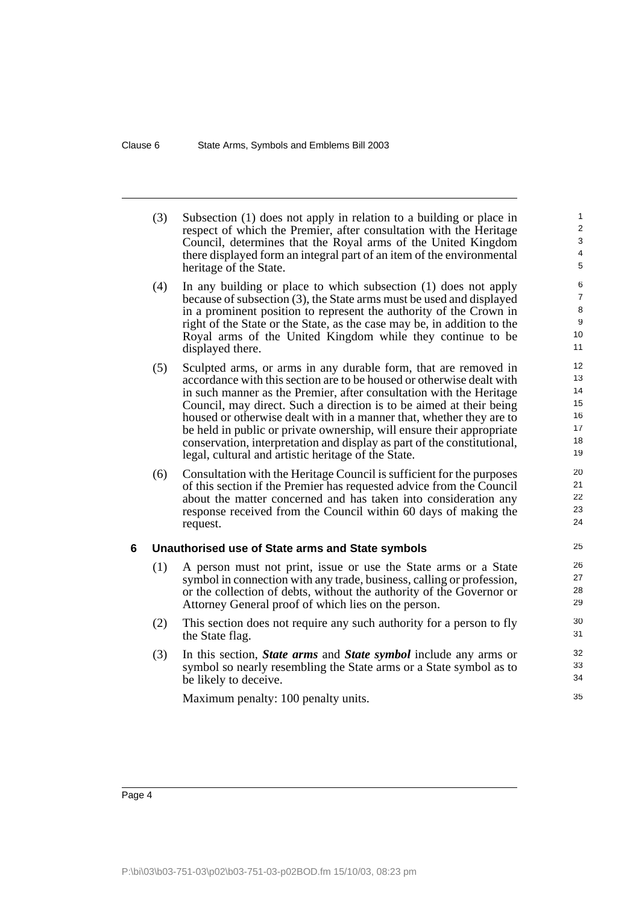<span id="page-5-0"></span>

|   | (3) | Subsection (1) does not apply in relation to a building or place in<br>respect of which the Premier, after consultation with the Heritage<br>Council, determines that the Royal arms of the United Kingdom<br>there displayed form an integral part of an item of the environmental<br>heritage of the State.                                                                                                                                                                                                                                                             | 1<br>$\overline{\mathbf{c}}$<br>3<br>4<br>5  |
|---|-----|---------------------------------------------------------------------------------------------------------------------------------------------------------------------------------------------------------------------------------------------------------------------------------------------------------------------------------------------------------------------------------------------------------------------------------------------------------------------------------------------------------------------------------------------------------------------------|----------------------------------------------|
|   | (4) | In any building or place to which subsection $(1)$ does not apply<br>because of subsection (3), the State arms must be used and displayed<br>in a prominent position to represent the authority of the Crown in<br>right of the State or the State, as the case may be, in addition to the<br>Royal arms of the United Kingdom while they continue to be<br>displayed there.                                                                                                                                                                                              | 6<br>7<br>8<br>9<br>10<br>11                 |
|   | (5) | Sculpted arms, or arms in any durable form, that are removed in<br>accordance with this section are to be housed or otherwise dealt with<br>in such manner as the Premier, after consultation with the Heritage<br>Council, may direct. Such a direction is to be aimed at their being<br>housed or otherwise dealt with in a manner that, whether they are to<br>be held in public or private ownership, will ensure their appropriate<br>conservation, interpretation and display as part of the constitutional,<br>legal, cultural and artistic heritage of the State. | 12<br>13<br>14<br>15<br>16<br>17<br>18<br>19 |
|   | (6) | Consultation with the Heritage Council is sufficient for the purposes<br>of this section if the Premier has requested advice from the Council<br>about the matter concerned and has taken into consideration any<br>response received from the Council within 60 days of making the<br>request.                                                                                                                                                                                                                                                                           | 20<br>21<br>22<br>23<br>24                   |
| 6 |     | Unauthorised use of State arms and State symbols                                                                                                                                                                                                                                                                                                                                                                                                                                                                                                                          | 25                                           |
|   | (1) | A person must not print, issue or use the State arms or a State<br>symbol in connection with any trade, business, calling or profession,<br>or the collection of debts, without the authority of the Governor or<br>Attorney General proof of which lies on the person.                                                                                                                                                                                                                                                                                                   | 26<br>27<br>28<br>29                         |
|   | (2) | This section does not require any such authority for a person to fly<br>the State flag.                                                                                                                                                                                                                                                                                                                                                                                                                                                                                   | 30<br>31                                     |
|   | (3) | In this section, <i>State arms</i> and <i>State symbol</i> include any arms or<br>symbol so nearly resembling the State arms or a State symbol as to<br>be likely to deceive.                                                                                                                                                                                                                                                                                                                                                                                             | 32<br>33<br>34                               |
|   |     | Maximum penalty: 100 penalty units.                                                                                                                                                                                                                                                                                                                                                                                                                                                                                                                                       | 35                                           |
|   |     |                                                                                                                                                                                                                                                                                                                                                                                                                                                                                                                                                                           |                                              |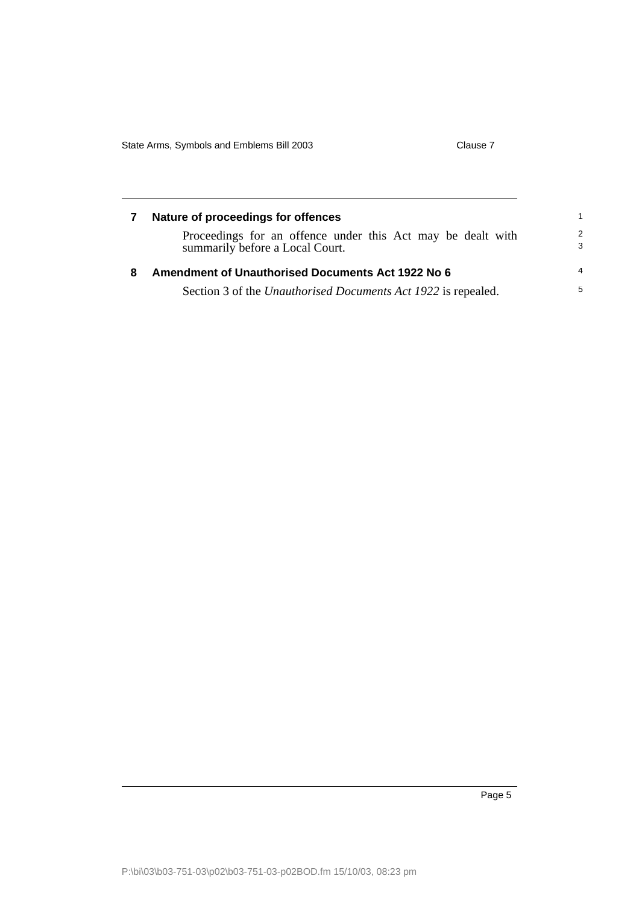<span id="page-6-1"></span><span id="page-6-0"></span>

|   | Nature of proceedings for offences                                                             | 1.                 |
|---|------------------------------------------------------------------------------------------------|--------------------|
|   | Proceedings for an offence under this Act may be dealt with<br>summarily before a Local Court. | $\mathcal{P}$<br>3 |
| 8 | <b>Amendment of Unauthorised Documents Act 1922 No 6</b>                                       | $\overline{4}$     |
|   | Section 3 of the <i>Unauthorised Documents Act 1922</i> is repealed.                           | $5^{\circ}$        |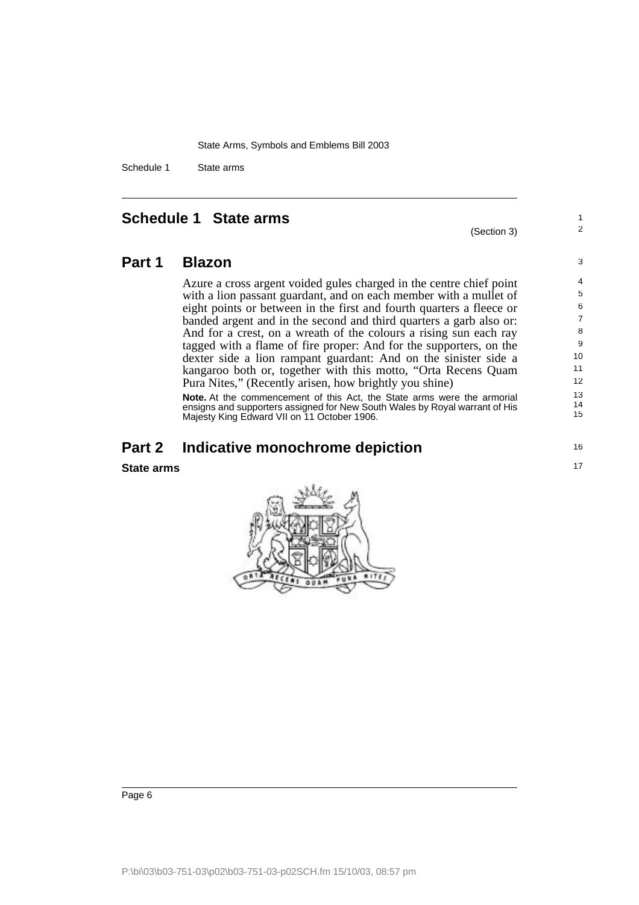Schedule 1 State arms

#### <span id="page-7-0"></span>**Schedule 1 State arms**

#### (Section 3)

1 2

16 17

**Part 1 Blazon**

Azure a cross argent voided gules charged in the centre chief point with a lion passant guardant, and on each member with a mullet of eight points or between in the first and fourth quarters a fleece or banded argent and in the second and third quarters a garb also or: And for a crest, on a wreath of the colours a rising sun each ray tagged with a flame of fire proper: And for the supporters, on the dexter side a lion rampant guardant: And on the sinister side a kangaroo both or, together with this motto, "Orta Recens Quam Pura Nites," (Recently arisen, how brightly you shine)

**Note.** At the commencement of this Act, the State arms were the armorial ensigns and supporters assigned for New South Wales by Royal warrant of His Majesty King Edward VII on 11 October 1906.

#### **Part 2 Indicative monochrome depiction**

**State arms**

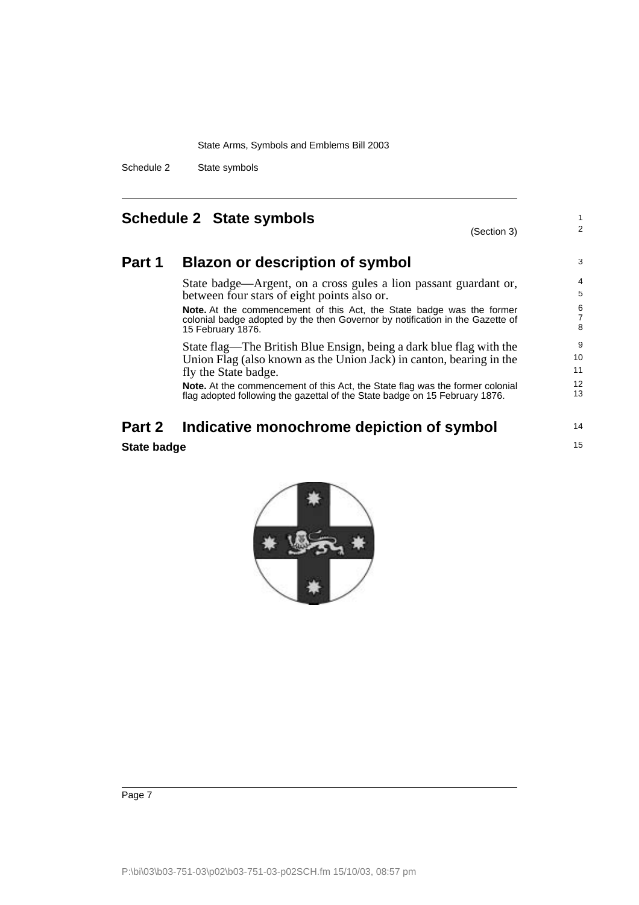Schedule 2 State symbols

### <span id="page-8-0"></span>**Schedule 2 State symbols**

(Section 3)

1 2

14 15

#### **Part 1 Blazon or description of symbol**

State badge—Argent, on a cross gules a lion passant guardant or, between four stars of eight points also or.

**Note.** At the commencement of this Act, the State badge was the former colonial badge adopted by the then Governor by notification in the Gazette of 15 February 1876.

State flag—The British Blue Ensign, being a dark blue flag with the Union Flag (also known as the Union Jack) in canton, bearing in the fly the State badge.

**Note.** At the commencement of this Act, the State flag was the former colonial flag adopted following the gazettal of the State badge on 15 February 1876.

## **Part 2 Indicative monochrome depiction of symbol**

#### **State badge**

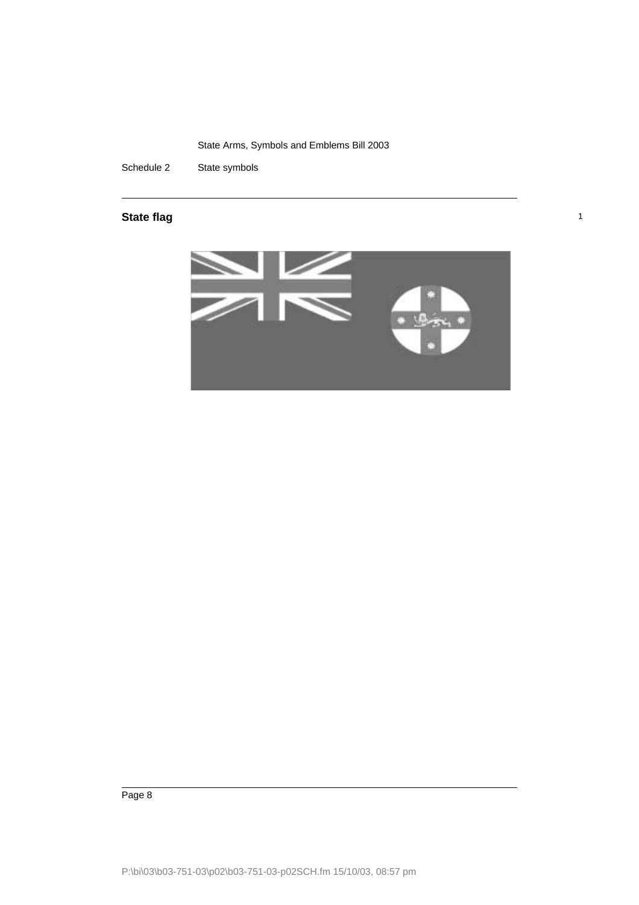Schedule 2 State symbols

#### **State flag** 1 and 1 and 1 and 1 and 1 and 1 and 1 and 1 and 1 and 1 and 1 and 1 and 1 and 1 and 1 and 1 and 1 and 1 and 1 and 1 and 1 and 1 and 1 and 1 and 1 and 1 and 1 and 1 and 1 and 1 and 1 and 1 and 1 and 1 and 1 and



Page 8